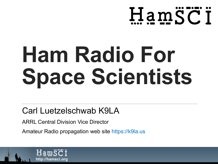

# **Ham Radio For Space Scientists**

#### Carl Luetzelschwab K9LA

ARRL Central Division Vice Director

Amateur Radio propagation web site https://k9la.us

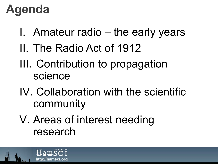#### **Agenda**

- I. Amateur radio the early years
- II. The Radio Act of 1912
- III. Contribution to propagation science
- IV. Collaboration with the scientific community
- V. Areas of interest needing research

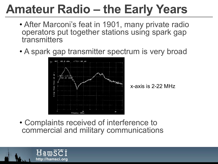## **Amateur Radio – the Early Years**

- After Marconi's feat in 1901, many private radio operators put together stations using spark gap transmitters
- A spark gap transmitter spectrum is very broad



x-axis is 2-22 MHz

• Complaints received of interference to commercial and military communications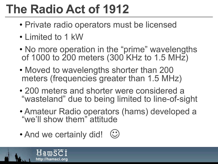# **The Radio Act of 1912**

- Private radio operators must be licensed
- Limited to 1 kW
- No more operation in the "prime" wavelengths of 1000 to 200 meters (300 KHz to 1.5 MHz)
- Moved to wavelengths shorter than 200 meters (frequencies greater than 1.5 MHz)
- 200 meters and shorter were considered a "wasteland" due to being limited to line-of-sight
- Amateur Radio operators (hams) developed a "we'll show them" attitude
- And we certainly did!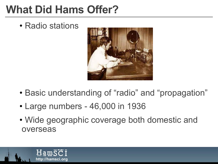#### **What Did Hams Offer?**

• Radio stations



- Basic understanding of "radio" and "propagation"
- Large numbers 46,000 in 1936
- Wide geographic coverage both domestic and overseas

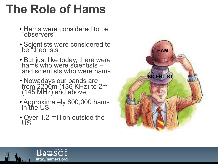#### **The Role of Hams**

- Hams were considered to be "observers"
- Scientists were considered to be "theorists"
- But just like today, there were hams who were scientists –<br>and scientists who were hams
- Nowadays our bands are from 2200m (136 KHz) to 2m (145 MHz) and above
- Approximately 800,000 hams in the US
- Over 1.2 million outside the US

HamSCI http://hamsci.org

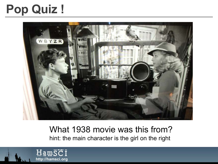## **Pop Quiz !**



#### What 1938 movie was this from? hint: the main character is the girl on the right

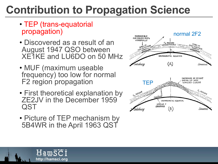- TEP (trans-equatorial propagation)
- Discovered as a result of an August 1947 QSO between XE1KE and LU6DO on 50 MHz
- MUF (maximum useable frequency) too low for normal F2 region propagation
- First theoretical explanation by ZE2JV in the December 1959 QST
- Picture of TEP mechanism by 5B4WR in the April 1963 QST

Hamsci

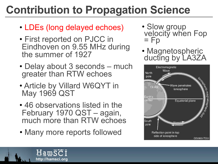- LDEs (long delayed echoes)
- First reported on PJCC in Eindhoven on 9.55 MHz during the summer of 1927
- Delay about 3 seconds much greater than RTW echoes
- Article by Villard W6QYT in May 1969 QST
- 46 observations listed in the February 1970 QST – again, much more than RTW echoes
- Many more reports followed

Hamsci

- Slow group velocity when Fop  $=$  Fp
- Magnetospheric ducting by LA3ZA

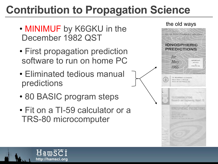- MINIMUF by K6GKU in the December 1982 QST
- First propagation prediction software to run on home PC
- Eliminated tedious manual predictions
- 80 BASIC program steps

HamSCT

http://hamsci.org

• Fit on a TI-59 calculator or a TRS-80 microcomputer

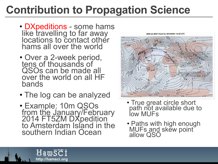- DXpeditions some hams like travelling to far away locations to contact other hams all over the world
- Over a 2-week period, tens of thousands of QSOs can be made all over the world on all HF bands
- The log can be analyzed
- Example: 10m QSOs from the January/February 2014 FT5ZM DXpedition<br>to Amsterdam Island in the southern Indian Ocean

HamSCI



- True great circle short path not available due to low MUFs
- Paths with high enough MUFs and skew point allow QSO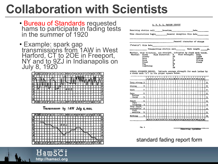- Bureau of Standards requested hams to participate in fading tests in the summer of 1920
- Example: spark gap<br>transmissions from 1AW in West Harford, CT to 20E in Freeport, NY and to 9ZJ in Indianapolis on<br>July 8, 1920



Transmission by IAW July 8, 1920.



HamSCI

http://hamsci.org

|           |                                                        |                                                                         | Date                                                                                                                                                                                                                                                               |
|-----------|--------------------------------------------------------|-------------------------------------------------------------------------|--------------------------------------------------------------------------------------------------------------------------------------------------------------------------------------------------------------------------------------------------------------------|
|           |                                                        |                                                                         |                                                                                                                                                                                                                                                                    |
|           |                                                        |                                                                         |                                                                                                                                                                                                                                                                    |
|           |                                                        |                                                                         |                                                                                                                                                                                                                                                                    |
|           |                                                        |                                                                         | Wave length = m.                                                                                                                                                                                                                                                   |
|           |                                                        |                                                                         |                                                                                                                                                                                                                                                                    |
|           |                                                        |                                                                         | Calm<br>Light                                                                                                                                                                                                                                                      |
|           |                                                        |                                                                         | Hedium                                                                                                                                                                                                                                                             |
|           | 33                                                     |                                                                         | Strong                                                                                                                                                                                                                                                             |
|           | а                                                      |                                                                         | Storm                                                                                                                                                                                                                                                              |
|           | 30                                                     |                                                                         |                                                                                                                                                                                                                                                                    |
| Lightning | W                                                      |                                                                         |                                                                                                                                                                                                                                                                    |
|           | {"static"} this date<br>Clasr Class<br>Cloudy<br>Slast | A. R. R. L. FADING RRFORT<br>Wind Direction:<br>$\mathbf{H}$<br>NБ<br>r | Receiving station call Location<br>General character of strays<br>the contract of the contract of the contract contract of the contract of<br>Pranenitting station call<br>Weather, wind direction, and strength, indicated by check mark below.<br>Wind Strength: |

SIGNAL STRENGTH RECORD. Indicate average strength for each latter by a check mark (v) in the proper square below



Fig. 9

Receiving Operator

standard fading report form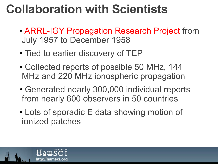- ARRL-IGY Propagation Research Project from July 1957 to December 1958
- Tied to earlier discovery of TEP
- Collected reports of possible 50 MHz, 144 MHz and 220 MHz ionospheric propagation
- Generated nearly 300,000 individual reports from nearly 600 observers in 50 countries
- Lots of sporadic E data showing motion of ionized patches

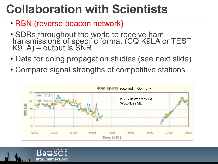- RBN (reverse beacon network)
- SDRs throughout the world to receive ham transmissions of specific format (CQ K9LA or TEST K9LA) – output is SNR
- Data for doing propagation studies (see next slide)
- Compare signal strengths of competitive stations



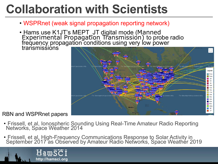- WSPRnet (weak signal propagation reporting network)
- Hams use K1JT's MEPT\_JT digital mode (Manned Experimental Propagation Transmission) to probe radio<br>frequency propagation conditions using very low power<br>transmissions



#### RBN and WSPRnet papers

- Frissell, et al, Ionospheric Sounding Using Real-Time Amateur Radio Reporting Networks, Space Weather 2014
- Frissell, et al, High-Frequency Communications Response to Solar Activity in September 2017 as Observed by Amateur Radio Networks, Space Weather 2019

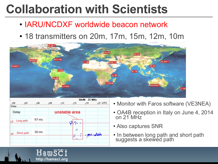- IARU/NCDXF worldwide beacon network
- 18 transmitters on 20m, 17m, 15m, 12m, 10m



| 100<br>103<br>106<br>Delay |       |                 | <b>OA4B 21 MHz</b> |      |                           |                  |
|----------------------------|-------|-----------------|--------------------|------|---------------------------|------------------|
|                            |       | 109             | 112                | 115  | 118                       | 121 UTC          |
|                            |       |                 |                    |      |                           |                  |
|                            |       |                 |                    |      |                           |                  |
| LP Long path               | 97 ms |                 | diam'r.            |      |                           |                  |
|                            |       |                 |                    |      |                           |                  |
| Short path                 | 36 ms |                 |                    | ias. |                           |                  |
|                            |       |                 |                    |      |                           |                  |
|                            |       | $8 - 8 - 8 - 8$ |                    |      | unstable area<br>- 10<br> | <b>SALL ROOM</b> |

- Monitor with Faros software (VE3NEA)
- OA4B reception in Italy on June 4, 2014 on 21 MHz
- Also captures SNR
- In between long path and short path suggests a skewed path

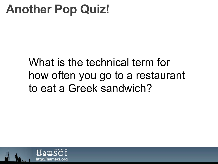#### What is the technical term for how often you go to a restaurant to eat a Greek sandwich?

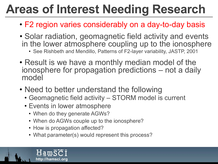# **Areas of Interest Needing Research**

- F2 region varies considerably on a day-to-day basis
- Solar radiation, geomagnetic field activity and events in the lower atmosphere coupling up to the ionosphere
	- See Rishbeth and Mendillo, Patterns of F2-layer variability, JASTP, 2001
- Result is we have a monthly median model of the ionosphere for propagation predictions – not a daily model
- Need to better understand the following
	- Geomagnetic field activity STORM model is current
	- Events in lower atmosphere
		- When do they generate AGWs?
		- When do AGWs couple up to the ionosphere?
		- How is propagation affected?
		- What parameter(s) would represent this process?

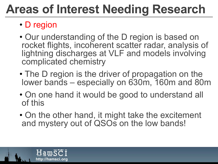## **Areas of Interest Needing Research**

#### • D region

- Our understanding of the D region is based on rocket flights, incoherent scatter radar, analysis of lightning discharges at VLF and models involving complicated chemistry
- The D region is the driver of propagation on the lower bands – especially on 630m, 160m and 80m
- On one hand it would be good to understand all of this
- On the other hand, it might take the excitement and mystery out of QSOs on the low bands!